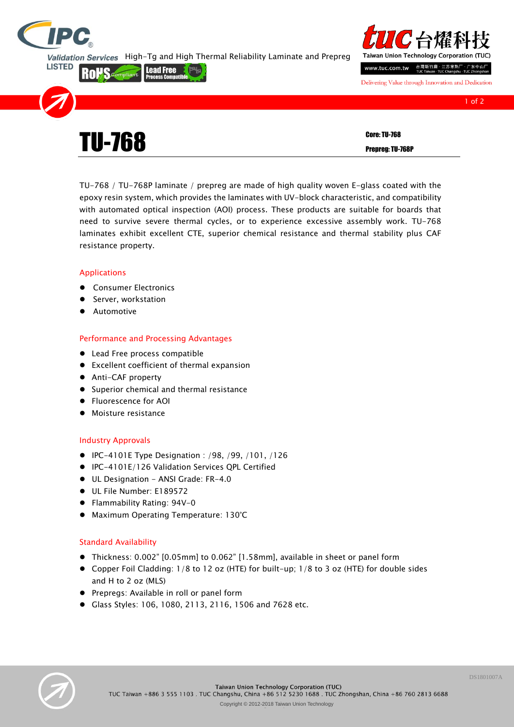

**LISTED** 

Rolls

Validation Services High-Tg and High Thermal Reliability Laminate and Prepreg

**Lead Free** 



Delivering Value through Innovation and Dedication

| <b>TU-768</b> | <b>Core: TU-768</b> |
|---------------|---------------------|
|               | Prepreg: TU-768P    |
|               |                     |

TU-768 / TU-768P laminate / prepreg are made of high quality woven E-glass coated with the epoxy resin system, which provides the laminates with UV-block characteristic, and compatibility with automated optical inspection (AOI) process. These products are suitable for boards that need to survive severe thermal cycles, or to experience excessive assembly work. TU-768 laminates exhibit excellent CTE, superior chemical resistance and thermal stability plus CAF resistance property.

## Applications

- **•** Consumer Electronics
- **Server, workstation**
- Automotive

## Performance and Processing Advantages

- Lead Free process compatible
- Excellent coefficient of thermal expansion
- Anti-CAF property
- **•** Superior chemical and thermal resistance
- Fluorescence for AOI
- Moisture resistance

# Industry Approvals

- IPC-4101E Type Designation : /98, /99, /101, /126
- IPC-4101E/126 Validation Services QPL Certified
- UL Designation ANSI Grade: FR-4.0
- UL File Number: E189572
- Flammability Rating: 94V-0
- Maximum Operating Temperature: 130°C

# Standard Availability

- Thickness: 0.002" [0.05mm] to 0.062" [1.58mm], available in sheet or panel form
- Copper Foil Cladding: 1/8 to 12 oz (HTE) for built-up; 1/8 to 3 oz (HTE) for double sides and H to 2 oz (MLS)
- Prepregs: Available in roll or panel form
- Glass Styles: 106, 1080, 2113, 2116, 1506 and 7628 etc.



Corporation